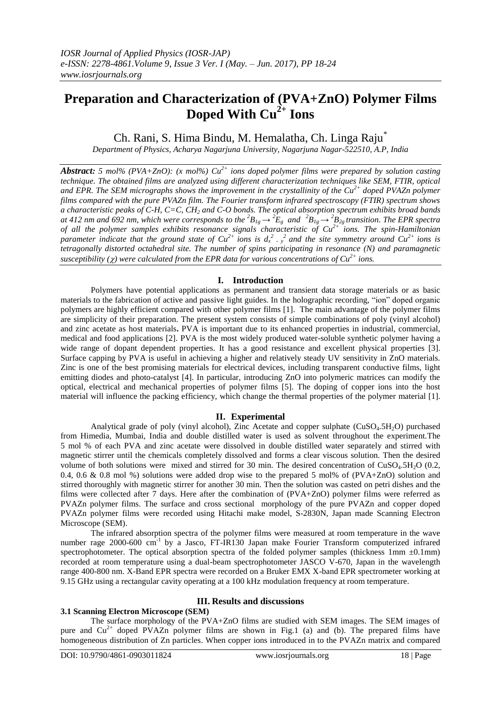# **Preparation and Characterization of (PVA+ZnO) Polymer Films Doped With Cu2+ Ions**

Ch. Rani, S. Hima Bindu, M. Hemalatha, Ch. Linga Raju\*

*Department of Physics, Acharya Nagarjuna University, Nagarjuna Nagar-522510, A.P, India*

*Abstract: 5 mol% (PVA+ZnO): (x mol%) Cu 2+ ions doped polymer films were prepared by solution casting technique. The obtained films are analyzed using different characterization techniques like SEM, FTIR, optical and EPR. The SEM micrographs shows the improvement in the crystallinity of the Cu2+ doped PVAZn polymer films compared with the pure PVAZn film. The Fourier transform infrared spectroscopy (FTIR) spectrum shows a characteristic peaks of C-H, C=C, CH<sup>2</sup> and C-O bonds. The optical absorption spectrum exhibits broad bands* at 412 nm and 692 nm, which were corresponds to the  ${}^2B_{1g} \to {}^2E_g$  and  ${}^2B_{1g} \to {}^2B_{2g}$  transition. The EPR spectra *of all the polymer samples exhibits resonance signals characteristic of Cu2+ ions. The spin-Hamiltonian parameter indicate that the ground state of*  $Cu^{2+}$  *<i>ions is*  $d_x^2 \frac{2}{x}$  *and the site symmetry around*  $Cu^{2+}$  *<i>ions is tetragonally distorted octahedral site. The number of spins participating in resonance (N) and paramagnetic susceptibility (* $\chi$ *) were calculated from the EPR data for various concentrations of*  $Cu^{2+}$  *ions.* 

# **I. Introduction**

Polymers have potential applications as permanent and transient data storage materials or as basic materials to the fabrication of active and passive light guides. In the holographic recording, "ion" doped organic polymers are highly efficient compared with other polymer films [1]. The main advantage of the polymer films are simplicity of their preparation. The present system consists of simple combinations of poly (vinyl alcohol) and zinc acetate as host materials**.** PVA is important due to its enhanced properties in industrial, commercial, medical and food applications [2]. PVA is the most widely produced water-soluble synthetic polymer having a wide range of dopant dependent properties. It has a good resistance and excellent physical properties [3]. Surface capping by PVA is useful in achieving a higher and relatively steady UV sensitivity in ZnO materials. Zinc is one of the best promising materials for electrical devices, including transparent conductive films, light emitting diodes and photo-catalyst [4]. In particular, introducing ZnO into polymeric matrices can modify the optical, electrical and mechanical properties of polymer films [5]. The doping of copper ions into the host material will influence the packing efficiency, which change the thermal properties of the polymer material [1].

# **II. Experimental**

Analytical grade of poly (vinyl alcohol), Zinc Acetate and copper sulphate  $(CuSO<sub>4</sub>.5H<sub>2</sub>O)$  purchased from Himedia, Mumbai, India and double distilled water is used as solvent throughout the experiment.The 5 mol % of each PVA and zinc acetate were dissolved in double distilled water separately and stirred with magnetic stirrer until the chemicals completely dissolved and forms a clear viscous solution. Then the desired volume of both solutions were mixed and stirred for 30 min. The desired concentration of  $CuSO<sub>4</sub>5H<sub>2</sub>O$  (0.2, 0.4, 0.6 & 0.8 mol %) solutions were added drop wise to the prepared 5 mol% of (PVA+ZnO) solution and stirred thoroughly with magnetic stirrer for another 30 min. Then the solution was casted on petri dishes and the films were collected after 7 days. Here after the combination of (PVA+ZnO) polymer films were referred as PVAZn polymer films. The surface and cross sectional morphology of the pure PVAZn and copper doped PVAZn polymer films were recorded using Hitachi make model, S-2830N, Japan made Scanning Electron Microscope (SEM).

The infrared absorption spectra of the polymer films were measured at room temperature in the wave number rage 2000-600 cm<sup>-1</sup> by a Jasco, FT-IR130 Japan make Fourier Transform computerized infrared spectrophotometer. The optical absorption spectra of the folded polymer samples (thickness 1mm  $\pm 0.1$ mm) recorded at room temperature using a dual-beam spectrophotometer JASCO V-670, Japan in the wavelength range 400-800 nm. X-Band EPR spectra were recorded on a Bruker EMX X-band EPR spectrometer working at 9.15 GHz using a rectangular cavity operating at a 100 kHz modulation frequency at room temperature.

# **III. Results and discussions**

# **3.1 Scanning Electron Microscope (SEM)**

The surface morphology of the PVA+ZnO films are studied with SEM images. The SEM images of pure and  $Cu^{2+}$  doped PVAZn polymer films are shown in Fig.1 (a) and (b). The prepared films have homogeneous distribution of Zn particles. When copper ions introduced in to the PVAZn matrix and compared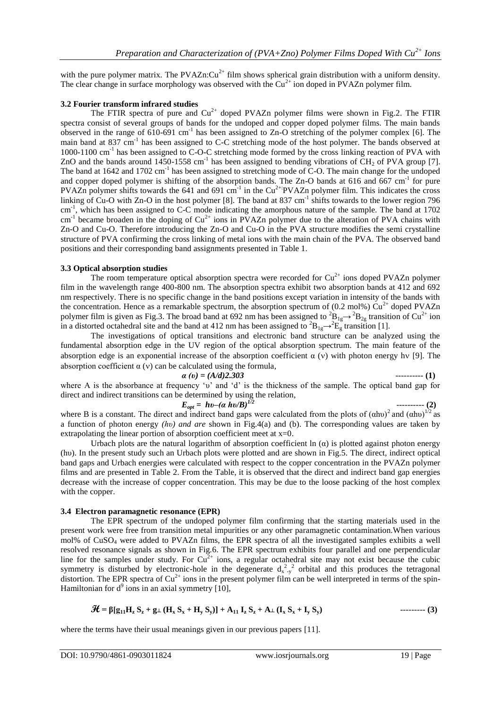with the pure polymer matrix. The PVAZn: $Cu^{2+}$  film shows spherical grain distribution with a uniform density. The clear change in surface morphology was observed with the  $Cu^{2+}$  ion doped in PVAZn polymer film.

## **3.2 Fourier transform infrared studies**

The FTIR spectra of pure and  $Cu^{2+}$  doped PVAZn polymer films were shown in Fig.2. The FTIR spectra consist of several groups of bands for the undoped and copper doped polymer films. The main bands observed in the range of  $610-691$  cm<sup>-1</sup> has been assigned to Zn-O stretching of the polymer complex [6]. The main band at 837 cm<sup>-1</sup> has been assigned to C-C stretching mode of the host polymer. The bands observed at 1000-1100 cm<sup>-1</sup> has been assigned to C-O-C stretching mode formed by the cross linking reaction of PVA with ZnO and the bands around  $1450-1558$  cm<sup>-1</sup> has been assigned to bending vibrations of CH<sub>2</sub> of PVA group [7]. The band at 1642 and 1702 cm<sup>-1</sup> has been assigned to stretching mode of C-O. The main change for the undoped and copper doped polymer is shifting of the absorption bands. The Zn-O bands at 616 and 667 cm<sup>-1</sup> for pure PVAZn polymer shifts towards the  $641$  and  $691$  cm<sup>-1</sup> in the Cu<sup>2+</sup>:PVAZn polymer film. This indicates the cross linking of Cu-O with Zn-O in the host polymer [8]. The band at 837 cm<sup>-1</sup> shifts towards to the lower region 796 cm<sup>-1</sup>, which has been assigned to C-C mode indicating the amorphous nature of the sample. The band at 1702  $cm<sup>-1</sup>$  became broaden in the doping of  $Cu<sup>2+</sup>$  ions in PVAZn polymer due to the alteration of PVA chains with Zn-O and Cu-O. Therefore introducing the Zn-O and Cu-O in the PVA structure modifies the semi crystalline structure of PVA confirming the cross linking of metal ions with the main chain of the PVA. The observed band positions and their corresponding band assignments presented in Table 1.

#### **3.3 Optical absorption studies**

The room temperature optical absorption spectra were recorded for  $Cu<sup>2+</sup>$  ions doped PVAZn polymer film in the wavelength range 400-800 nm. The absorption spectra exhibit two absorption bands at 412 and 692 nm respectively. There is no specific change in the band positions except variation in intensity of the bands with the concentration. Hence as a remarkable spectrum, the absorption spectrum of (0.2 mol%)  $Cu^{2+}$  doped PVAZn polymer film is given as Fig.3. The broad band at 692 nm has been assigned to  ${}^{2}B_{1g} \rightarrow {}^{2}B_{2g}$  transition of Cu<sup>2+</sup> ion in a distorted octahedral site and the band at 412 nm has been assigned to  ${}^{2}B_{1g} \rightarrow {}^{2}E_{g}$  transition [1].

The investigations of optical transitions and electronic band structure can be analyzed using the fundamental absorption edge in the UV region of the optical absorption spectrum. The main feature of the absorption edge is an exponential increase of the absorption coefficient  $\alpha$  (v) with photon energy hv [9]. The absorption coefficient  $\alpha$  (v) can be calculated using the formula,

$$
a(v) = (A/d)2.303 \tag{1}
$$

where A is the absorbance at frequency 'υ' and 'd' is the thickness of the sample. The optical band gap for direct and indirect transitions can be determined by using the relation,

$$
E_{opt} = hv - (a \; hv/B)^{1/2}
$$

---------- **(2)**

where B is a constant. The direct and indirect band gaps were calculated from the plots of  $(ahu)^2$  and  $(ahu)^{1/2}$  as a function of photon energy *(hυ) and are* shown in Fig.4(a) and (b). The corresponding values are taken by extrapolating the linear portion of absorption coefficient meet at  $x=0$ .

Urbach plots are the natural logarithm of absorption coefficient ln  $(\alpha)$  is plotted against photon energy (hυ). In the present study such an Urbach plots were plotted and are shown in Fig.5. The direct, indirect optical band gaps and Urbach energies were calculated with respect to the copper concentration in the PVAZn polymer films and are presented in Table 2. From the Table, it is observed that the direct and indirect band gap energies decrease with the increase of copper concentration. This may be due to the loose packing of the host complex with the copper.

#### **3.4 Electron paramagnetic resonance (EPR)**

The EPR spectrum of the undoped polymer film confirming that the starting materials used in the present work were free from transition metal impurities or any other paramagnetic contamination.When various mol% of CuSO<sup>4</sup> were added to PVAZn films, the EPR spectra of all the investigated samples exhibits a well resolved resonance signals as shown in Fig.6. The EPR spectrum exhibits four parallel and one perpendicular line for the samples under study. For  $Cu^{2+}$  ions, a regular octahedral site may not exist because the cubic symmetry is disturbed by electronic-hole in the degenerate  $d_{x-y}^{2}$  orbital and this produces the tetragonal distortion. The EPR spectra of  $Cu^{2+}$  ions in the present polymer film can be well interpreted in terms of the spin-Hamiltonian for  $d^9$  ions in an axial symmetry [10],

$$
\mathcal{H} = \beta[g_{11}H_zS_z + g_{\perp}(H_xS_x + H_yS_y)] + A_{11}I_zS_z + A_{\perp}(I_xS_x + I_yS_y)
$$
 \n
$$
\qquad \qquad \text{---} \qquad (3)
$$

where the terms have their usual meanings given in our previous papers [11].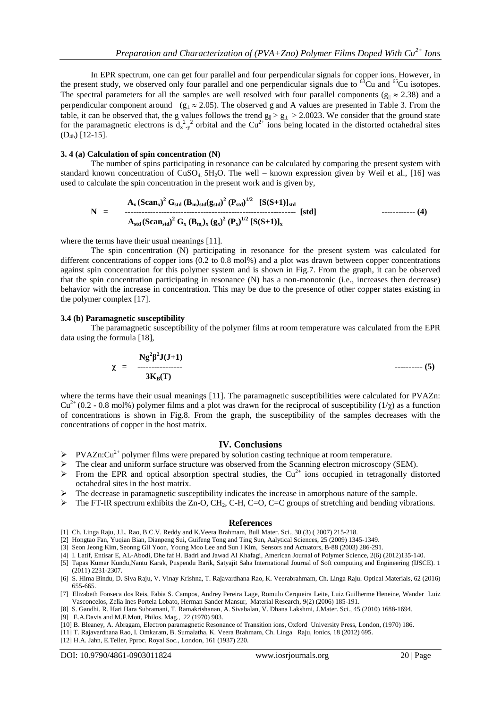In EPR spectrum, one can get four parallel and four perpendicular signals for copper ions. However, in the present study, we observed only four parallel and one perpendicular signals due to  $^{63}$ Cu and  $^{65}$ Cu isotopes. The spectral parameters for all the samples are well resolved with four parallel components ( $g_{\parallel} \approx 2.38$ ) and a perpendicular component around  $(g_{\perp} \approx 2.05)$ . The observed g and A values are presented in Table 3. From the table, it can be observed that, the g values follows the trend  $g_{\parallel} > g_{\perp} > 2.0023$ . We consider that the ground state for the paramagnetic electrons is  $d_{x-y}^2$  orbital and the Cu<sup>2+</sup> ions being located in the distorted octahedral sites (D4h) [12-15].

## **3. 4 (a) Calculation of spin concentration (N)**

The number of spins participating in resonance can be calculated by comparing the present system with standard known concentration of  $CuSO<sub>4</sub>$  5H<sub>2</sub>O. The well – known expression given by Weil et al., [16] was used to calculate the spin concentration in the present work and is given by,

$$
N = \n\begin{array}{rcl}\nA_x (Scan_x)^2 G_{std} (B_m)_{std} (g_{std})^2 (P_{std})^{1/2} & [S(S+1)]_{std} \\
\cdot & \cdot & \cdot \\
A_{std} (Scan_{std})^2 G_x (B_m)_{x} (g_x)^2 (P_x)^{1/2} [S(S+1)]_x\n\end{array}
$$
\n
$$
(4)
$$

where the terms have their usual meanings [11].

The spin concentration (N) participating in resonance for the present system was calculated for different concentrations of copper ions (0.2 to 0.8 mol%) and a plot was drawn between copper concentrations against spin concentration for this polymer system and is shown in Fig.7. From the graph, it can be observed that the spin concentration participating in resonance (N) has a non-monotonic (i.e., increases then decrease) behavior with the increase in concentration. This may be due to the presence of other copper states existing in the polymer complex [17].

#### **3.4 (b) Paramagnetic susceptibility**

The paramagnetic susceptibility of the polymer films at room temperature was calculated from the EPR data using the formula [18],

$$
\chi = \frac{Ng^2\beta^2J(J+1)}{3K_B(T)}
$$
 (5)

where the terms have their usual meanings [11]. The paramagnetic susceptibilities were calculated for PVAZn:  $Cu^{2+}$  (0.2 - 0.8 mol%) polymer films and a plot was drawn for the reciprocal of susceptibility (1/ $\chi$ ) as a function of concentrations is shown in Fig.8. From the graph, the susceptibility of the samples decreases with the concentrations of copper in the host matrix.

### **IV. Conclusions**

- $\triangleright$  PVAZn:Cu<sup>2+</sup> polymer films were prepared by solution casting technique at room temperature.
- The clear and uniform surface structure was observed from the Scanning electron microscopy (SEM).
- From the EPR and optical absorption spectral studies, the  $Cu^{2+}$  ions occupied in tetragonally distorted octahedral sites in the host matrix.
- The decrease in paramagnetic susceptibility indicates the increase in amorphous nature of the sample.
- $\triangleright$  The FT-IR spectrum exhibits the Zn-O, CH<sub>2</sub>, C-H, C=O, C=C groups of stretching and bending vibrations.

#### **References**

- [1] Ch. Linga Raju, J.L. Rao, B.C.V. Reddy and K.Veera Brahmam, Bull Mater. Sci., 30 (3) ( 2007) 215-218.
- [2] Hongtao Fan, Yuqian Bian, Dianpeng Sui, Guifeng Tong and Ting Sun, Aalytical Sciences, 25 (2009) 1345-1349.
- [3] Seon Jeong Kim, Seonng Gil Yoon, Young Moo Lee and Sun I Kim, Sensors and Actuators, B-88 (2003) 286-291.
- [4] I. Latif, Entisar E, AL-Abodi, Dhe faf H. Badri and Jawad AI Khafagi, American Journal of Polymer Science, 2(6) (2012)135-140.
- [5] Tapas Kumar Kundu,Nantu Karak, Puspendu Barik, Satyajit Saha International Journal of Soft computing and Engineering (IJSCE). 1 (2011) 2231-2307.
- [6] S. Hima Bindu, D. Siva Raju, V. Vinay Krishna, T. Rajavardhana Rao, K. Veerabrahmam, Ch. Linga Raju. Optical Materials, 62 (2016) 655-665.
- [7] Elizabeth Fonseca dos Reis, Fabia S. Campos, Andrey Pereira Lage, Romulo Cerqueira Leite, Luiz Guilherme Heneine, Wander Luiz Vasconcelos, Zelia Ines Portela Lobato, Herman Sander Mansur, Material Research, 9(2) (2006) 185-191.
- [8] S. Gandhi. R. Hari Hara Subramani, T. Ramakrishanan, A. Sivabalan, V. Dhana Lakshmi, J.Mater. Sci., 45 (2010) 1688-1694. [9] E.A.Davis and M.F.Mott, Philos. Mag., 22 (1970) 903.
- [10] B. Bleaney, A. Abragam, Electron paramagnetic Resonance of Transition ions, Oxford University Press, London, (1970) 186.
- [11] T. Rajavardhana Rao, I. Omkaram, B. Sumalatha, K. Veera Brahmam, Ch. Linga Raju, Ionics, 18 (2012) 695.
- [12] H.A. Jahn, E.Teller, Pproc. Royal Soc., London, 161 (1937) 220.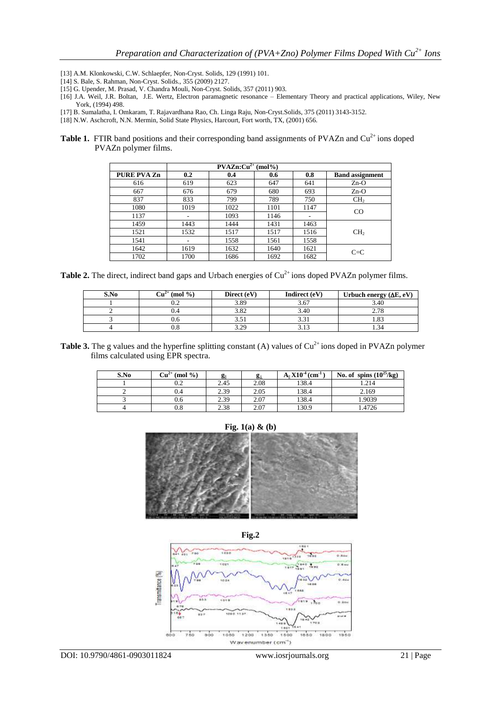- [13] A.M. Klonkowski, C.W. Schlaepfer, Non-Cryst. Solids, 129 (1991) 101.
- [14] S. Bale, S. Rahman, Non-Cryst. Solids., 355 (2009) 2127.
- [15] G. Upender, M. Prasad, V. Chandra Mouli, Non-Cryst. Solids, 357 (2011) 903.
- [16] J.A. Weil, J.R. Boltan, J.E. Wertz, Electron paramagnetic resonance Elementary Theory and practical applications, Wiley, New York, (1994) 498.
- [17] B. Sumalatha, I. Omkaram, T. Rajavardhana Rao, Ch. Linga Raju, Non-Cryst.Solids, 375 (2011) 3143-3152.
- [18] N.W. Aschcroft, N.N. Mermin, Solid State Physics, Harcourt, Fort worth, TX, (2001) 656.
- **Table 1.** FTIR band positions and their corresponding band assignments of PVAZn and Cu<sup>2+</sup> ions doped PVAZn polymer films.

| $\text{PVAZn:} \text{Cu}^{2+} \text{ (mol%)}$ |      |      |      |      |                        |  |  |
|-----------------------------------------------|------|------|------|------|------------------------|--|--|
| <b>PURE PVA Zn</b>                            | 0.2  | 0.4  | 0.6  | 0.8  | <b>Band assignment</b> |  |  |
| 616                                           | 619  | 623  | 647  | 641  | $Zn-O$                 |  |  |
| 667                                           | 676  | 679  | 680  | 693  | $Zn-O$                 |  |  |
| 837                                           | 833  | 799  | 789  | 750  | CH <sub>2</sub>        |  |  |
| 1080                                          | 1019 | 1022 | 1101 | 1147 | CO                     |  |  |
| 1137                                          |      | 1093 | 1146 |      |                        |  |  |
| 1459                                          | 1443 | 1444 | 1431 | 1463 |                        |  |  |
| 1521                                          | 1532 | 1517 | 1517 | 1516 | CH <sub>2</sub>        |  |  |
| 1541                                          | ۰    | 1558 | 1561 | 1558 |                        |  |  |
| 1642                                          | 1619 | 1632 | 1640 | 1621 | $C = C$                |  |  |
| 1702                                          | 1700 | 1686 | 1692 | 1682 |                        |  |  |

**Table 2.** The direct, indirect band gaps and Urbach energies of  $Cu^{2+}$  ions doped PVAZn polymer films.

| S.No | $\mathrm{Cu}^{\scriptscriptstyle \mathcal{A}^+}$<br>(mod 96) | Direct (eV) | Indirect (eV) | Urbuch energy $(\Delta E, eV)$ |
|------|--------------------------------------------------------------|-------------|---------------|--------------------------------|
|      | ∪.∠                                                          | 3.89        | .J.U          | 3.40                           |
|      | U.4                                                          | 3.OZ        | 3.40          | 270                            |
|      | v.o                                                          | ر. ر        | ر ر.ر         | $\circ$<br>1.0.                |
|      | v.e                                                          | ററ          |               |                                |

**Table 3.** The g values and the hyperfine splitting constant (A) values of  $Cu^{2+}$  ions doped in PVAZn polymer films calculated using EPR spectra.

| S.No | $Cu2+$ (mol %) | $g_{\parallel}$ | g⊥   | $A_1$ $X10^{-4}$ (cm <sup>-1</sup> ) | No. of spins $(10^{25}/\text{kg})$ |
|------|----------------|-----------------|------|--------------------------------------|------------------------------------|
|      | 0.2            | 2.45            | 2.08 | 138.4                                | 1.214                              |
|      | 0.4            | 2.39            | 2.05 | 138.4                                | 2.169                              |
|      | 0.6            | 2.39            | 2.07 | 138.4                                | 1.9039                             |
|      | $_{0.8}$       | 2.38            | 2.07 | 130.9                                | 1.4726                             |







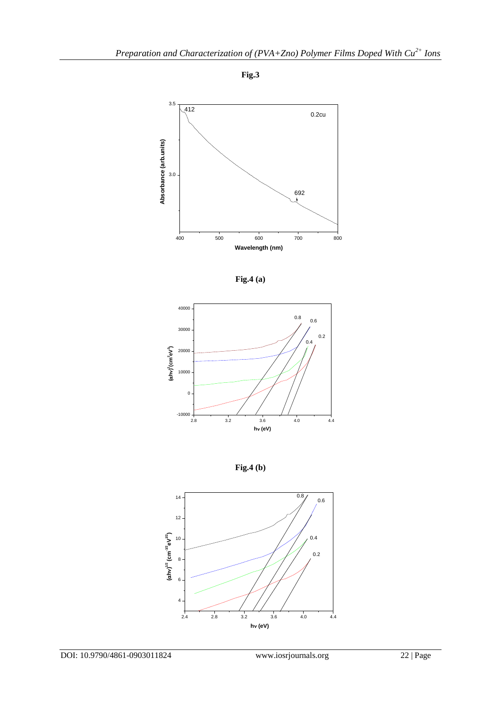







**Fig.4 (b)**

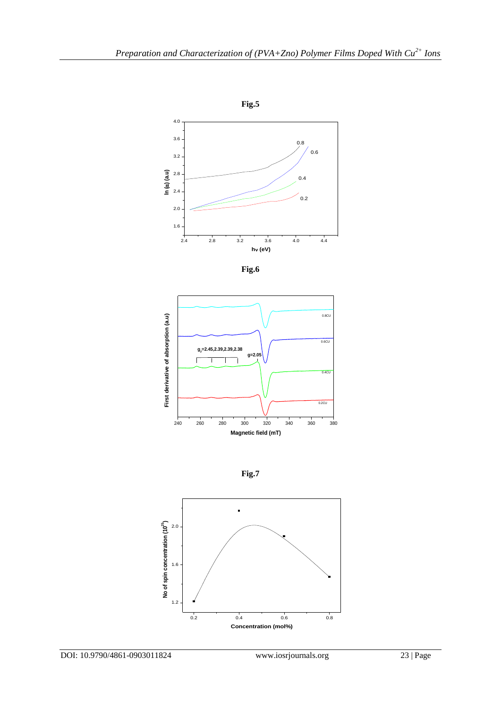